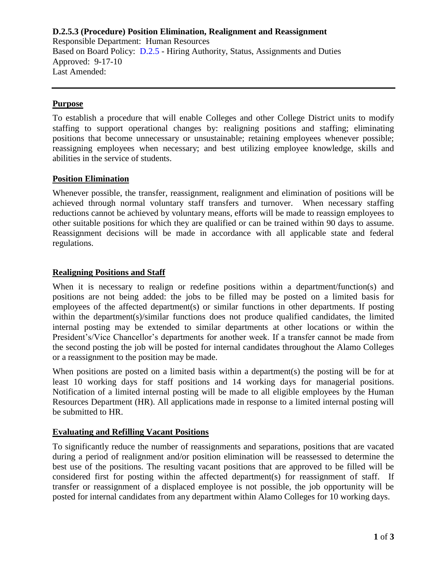## **D.2.5.3 (Procedure) Position Elimination, Realignment and Reassignment** Responsible Department: Human Resources Based on Board Policy: [D.2.5](https://www.alamo.edu/siteassets/district/about-us/leadership/board-of-trustees/policies-pdfs/section-d/d.2.5-policy.pdf) - Hiring Authority, Status, Assignments and Duties Approved: 9-17-10 Last Amended:

## **Purpose**

To establish a procedure that will enable Colleges and other College District units to modify staffing to support operational changes by: realigning positions and staffing; eliminating positions that become unnecessary or unsustainable; retaining employees whenever possible; reassigning employees when necessary; and best utilizing employee knowledge, skills and abilities in the service of students.

#### **Position Elimination**

Whenever possible, the transfer, reassignment, realignment and elimination of positions will be achieved through normal voluntary staff transfers and turnover. When necessary staffing reductions cannot be achieved by voluntary means, efforts will be made to reassign employees to other suitable positions for which they are qualified or can be trained within 90 days to assume. Reassignment decisions will be made in accordance with all applicable state and federal regulations.

#### **Realigning Positions and Staff**

When it is necessary to realign or redefine positions within a department/function(s) and positions are not being added: the jobs to be filled may be posted on a limited basis for employees of the affected department(s) or similar functions in other departments. If posting within the department(s)/similar functions does not produce qualified candidates, the limited internal posting may be extended to similar departments at other locations or within the President's/Vice Chancellor's departments for another week. If a transfer cannot be made from the second posting the job will be posted for internal candidates throughout the Alamo Colleges or a reassignment to the position may be made.

When positions are posted on a limited basis within a department(s) the posting will be for at least 10 working days for staff positions and 14 working days for managerial positions. Notification of a limited internal posting will be made to all eligible employees by the Human Resources Department (HR). All applications made in response to a limited internal posting will be submitted to HR.

#### **Evaluating and Refilling Vacant Positions**

To significantly reduce the number of reassignments and separations, positions that are vacated during a period of realignment and/or position elimination will be reassessed to determine the best use of the positions. The resulting vacant positions that are approved to be filled will be considered first for posting within the affected department(s) for reassignment of staff. If transfer or reassignment of a displaced employee is not possible, the job opportunity will be posted for internal candidates from any department within Alamo Colleges for 10 working days.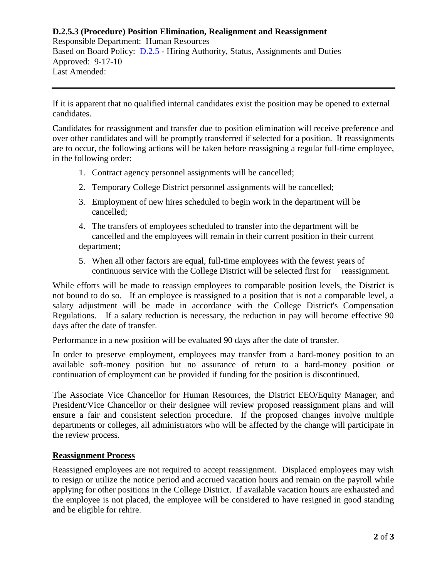#### **D.2.5.3 (Procedure) Position Elimination, Realignment and Reassignment**

Responsible Department: Human Resources Based on Board Policy: [D.2.5](https://www.alamo.edu/siteassets/district/about-us/leadership/board-of-trustees/policies-pdfs/section-d/d.2.5-policy.pdf) - Hiring Authority, Status, Assignments and Duties Approved: 9-17-10 Last Amended:

If it is apparent that no qualified internal candidates exist the position may be opened to external candidates.

Candidates for reassignment and transfer due to position elimination will receive preference and over other candidates and will be promptly transferred if selected for a position. If reassignments are to occur, the following actions will be taken before reassigning a regular full-time employee, in the following order:

- 1. Contract agency personnel assignments will be cancelled;
- 2. Temporary College District personnel assignments will be cancelled;
- 3. Employment of new hires scheduled to begin work in the department will be cancelled;
- 4. The transfers of employees scheduled to transfer into the department will be cancelled and the employees will remain in their current position in their current department;
- 5. When all other factors are equal, full-time employees with the fewest years of continuous service with the College District will be selected first for reassignment.

While efforts will be made to reassign employees to comparable position levels, the District is not bound to do so. If an employee is reassigned to a position that is not a comparable level, a salary adjustment will be made in accordance with the College District's Compensation Regulations. If a salary reduction is necessary, the reduction in pay will become effective 90 days after the date of transfer.

Performance in a new position will be evaluated 90 days after the date of transfer.

In order to preserve employment, employees may transfer from a hard-money position to an available soft-money position but no assurance of return to a hard-money position or continuation of employment can be provided if funding for the position is discontinued.

The Associate Vice Chancellor for Human Resources, the District EEO/Equity Manager, and President/Vice Chancellor or their designee will review proposed reassignment plans and will ensure a fair and consistent selection procedure. If the proposed changes involve multiple departments or colleges, all administrators who will be affected by the change will participate in the review process.

#### **Reassignment Process**

Reassigned employees are not required to accept reassignment. Displaced employees may wish to resign or utilize the notice period and accrued vacation hours and remain on the payroll while applying for other positions in the College District. If available vacation hours are exhausted and the employee is not placed, the employee will be considered to have resigned in good standing and be eligible for rehire.